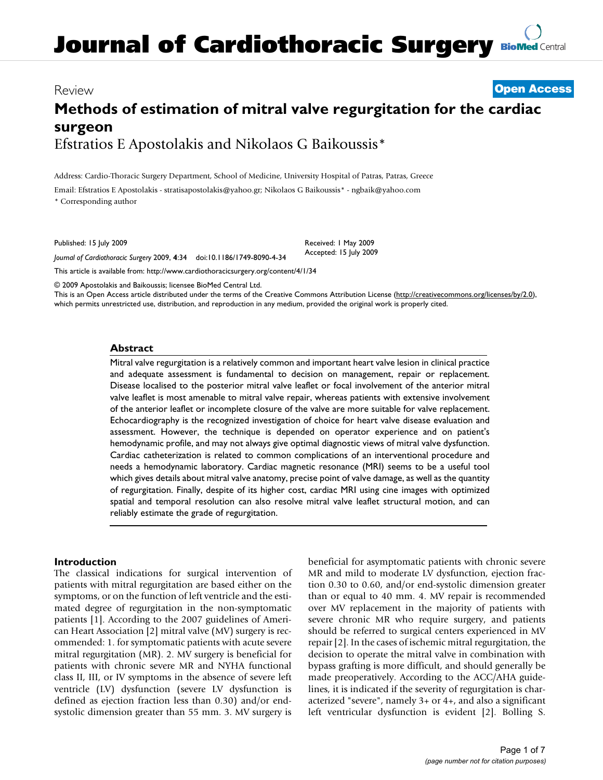# **Journal of Cardiothoracic Surgery [BioMed](http://www.biomedcentral.com/) Central**

### Review **[Open Access](http://www.biomedcentral.com/info/about/charter/)**

## **Methods of estimation of mitral valve regurgitation for the cardiac surgeon** Efstratios E Apostolakis and Nikolaos G Baikoussis\*

Address: Cardio-Thoracic Surgery Department, School of Medicine, University Hospital of Patras, Patras, Greece

Email: Efstratios E Apostolakis - stratisapostolakis@yahoo.gr; Nikolaos G Baikoussis\* - ngbaik@yahoo.com

\* Corresponding author

Published: 15 July 2009

*Journal of Cardiothoracic Surgery* 2009, **4**:34 doi:10.1186/1749-8090-4-34 Accepted: 15 July 2009

[This article is available from: http://www.cardiothoracicsurgery.org/content/4/1/34](http://www.cardiothoracicsurgery.org/content/4/1/34)

© 2009 Apostolakis and Baikoussis; licensee BioMed Central Ltd.

This is an Open Access article distributed under the terms of the Creative Commons Attribution License [\(http://creativecommons.org/licenses/by/2.0\)](http://creativecommons.org/licenses/by/2.0), which permits unrestricted use, distribution, and reproduction in any medium, provided the original work is properly cited.

Received: 1 May 2009

#### **Abstract**

Mitral valve regurgitation is a relatively common and important heart valve lesion in clinical practice and adequate assessment is fundamental to decision on management, repair or replacement. Disease localised to the posterior mitral valve leaflet or focal involvement of the anterior mitral valve leaflet is most amenable to mitral valve repair, whereas patients with extensive involvement of the anterior leaflet or incomplete closure of the valve are more suitable for valve replacement. Echocardiography is the recognized investigation of choice for heart valve disease evaluation and assessment. However, the technique is depended on operator experience and on patient's hemodynamic profile, and may not always give optimal diagnostic views of mitral valve dysfunction. Cardiac catheterization is related to common complications of an interventional procedure and needs a hemodynamic laboratory. Cardiac magnetic resonance (MRI) seems to be a useful tool which gives details about mitral valve anatomy, precise point of valve damage, as well as the quantity of regurgitation. Finally, despite of its higher cost, cardiac MRI using cine images with optimized spatial and temporal resolution can also resolve mitral valve leaflet structural motion, and can reliably estimate the grade of regurgitation.

#### **Introduction**

The classical indications for surgical intervention of patients with mitral regurgitation are based either on the symptoms, or on the function of left ventricle and the estimated degree of regurgitation in the non-symptomatic patients [1]. According to the 2007 guidelines of American Heart Association [2] mitral valve (MV) surgery is recommended: 1. for symptomatic patients with acute severe mitral regurgitation (MR). 2. MV surgery is beneficial for patients with chronic severe MR and NYHA functional class II, III, or IV symptoms in the absence of severe left ventricle (LV) dysfunction (severe LV dysfunction is defined as ejection fraction less than 0.30) and/or endsystolic dimension greater than 55 mm. 3. MV surgery is beneficial for asymptomatic patients with chronic severe MR and mild to moderate LV dysfunction, ejection fraction 0.30 to 0.60, and/or end-systolic dimension greater than or equal to 40 mm. 4. MV repair is recommended over MV replacement in the majority of patients with severe chronic MR who require surgery, and patients should be referred to surgical centers experienced in MV repair [2]. In the cases of ischemic mitral regurgitation, the decision to operate the mitral valve in combination with bypass grafting is more difficult, and should generally be made preoperatively. According to the ACC/AHA guidelines, it is indicated if the severity of regurgitation is characterized "severe", namely 3+ or 4+, and also a significant left ventricular dysfunction is evident [2]. Bolling S.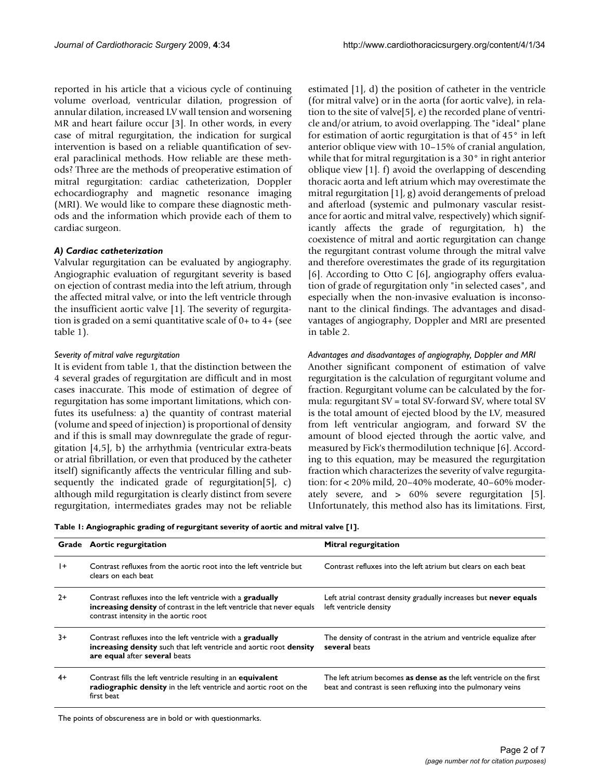reported in his article that a vicious cycle of continuing volume overload, ventricular dilation, progression of annular dilation, increased LV wall tension and worsening MR and heart failure occur [3]. In other words, in every case of mitral regurgitation, the indication for surgical intervention is based on a reliable quantification of several paraclinical methods. How reliable are these methods? Three are the methods of preoperative estimation of mitral regurgitation: cardiac catheterization, Doppler echocardiography and magnetic resonance imaging (MRI). We would like to compare these diagnostic methods and the information which provide each of them to cardiac surgeon.

#### *A) Cardiac catheterization*

Valvular regurgitation can be evaluated by angiography. Angiographic evaluation of regurgitant severity is based on ejection of contrast media into the left atrium, through the affected mitral valve, or into the left ventricle through the insufficient aortic valve [1]. The severity of regurgitation is graded on a semi quantitative scale of 0+ to 4+ (see table 1).

#### *Severity of mitral valve regurgitation*

It is evident from table 1, that the distinction between the 4 several grades of regurgitation are difficult and in most cases inaccurate. This mode of estimation of degree of regurgitation has some important limitations, which confutes its usefulness: a) the quantity of contrast material (volume and speed of injection) is proportional of density and if this is small may downregulate the grade of regurgitation [4,5], b) the arrhythmia (ventricular extra-beats or atrial fibrillation, or even that produced by the catheter itself) significantly affects the ventricular filling and subsequently the indicated grade of regurgitation $[5]$ , c) although mild regurgitation is clearly distinct from severe regurgitation, intermediates grades may not be reliable estimated [1], d) the position of catheter in the ventricle (for mitral valve) or in the aorta (for aortic valve), in relation to the site of valve[5], e) the recorded plane of ventricle and/or atrium, to avoid overlapping. The "ideal" plane for estimation of aortic regurgitation is that of 45° in left anterior oblique view with 10–15% of cranial angulation, while that for mitral regurgitation is a 30° in right anterior oblique view [1]. f) avoid the overlapping of descending thoracic aorta and left atrium which may overestimate the mitral regurgitation [1], g) avoid derangements of preload and afterload (systemic and pulmonary vascular resistance for aortic and mitral valve, respectively) which significantly affects the grade of regurgitation, h) the coexistence of mitral and aortic regurgitation can change the regurgitant contrast volume through the mitral valve and therefore overestimates the grade of its regurgitation [6]. According to Otto C [6], angiography offers evaluation of grade of regurgitation only "in selected cases", and especially when the non-invasive evaluation is inconsonant to the clinical findings. The advantages and disadvantages of angiography, Doppler and MRI are presented in table 2.

#### *Advantages and disadvantages of angiography, Doppler and MRI*

Another significant component of estimation of valve regurgitation is the calculation of regurgitant volume and fraction. Regurgitant volume can be calculated by the formula: regurgitant SV = total SV-forward SV, where total SV is the total amount of ejected blood by the LV, measured from left ventricular angiogram, and forward SV the amount of blood ejected through the aortic valve, and measured by Fick's thermodilution technique [6]. According to this equation, may be measured the regurgitation fraction which characterizes the severity of valve regurgitation: for < 20% mild, 20–40% moderate, 40–60% moderately severe, and > 60% severe regurgitation [5]. Unfortunately, this method also has its limitations. First,

**Table 1: Angiographic grading of regurgitant severity of aortic and mitral valve [1].** 

|      | Grade Aortic regurgitation                                                                                                                                                    | Mitral regurgitation                                                                                                                |
|------|-------------------------------------------------------------------------------------------------------------------------------------------------------------------------------|-------------------------------------------------------------------------------------------------------------------------------------|
| $ +$ | Contrast refluxes from the aortic root into the left ventricle but<br>clears on each beat                                                                                     | Contrast refluxes into the left atrium but clears on each beat                                                                      |
| $2+$ | Contrast refluxes into the left ventricle with a gradually<br>increasing density of contrast in the left ventricle that never equals<br>contrast intensity in the aortic root | Left atrial contrast density gradually increases but never equals<br>left ventricle density                                         |
| $3+$ | Contrast refluxes into the left ventricle with a gradually<br>increasing density such that left ventricle and aortic root density<br>are equal after several beats            | The density of contrast in the atrium and ventricle equalize after<br>several beats                                                 |
| $4+$ | Contrast fills the left ventricle resulting in an equivalent<br>radiographic density in the left ventricle and aortic root on the<br>first beat                               | The left atrium becomes as dense as the left ventricle on the first<br>beat and contrast is seen refluxing into the pulmonary veins |

The points of obscureness are in bold or with questionmarks.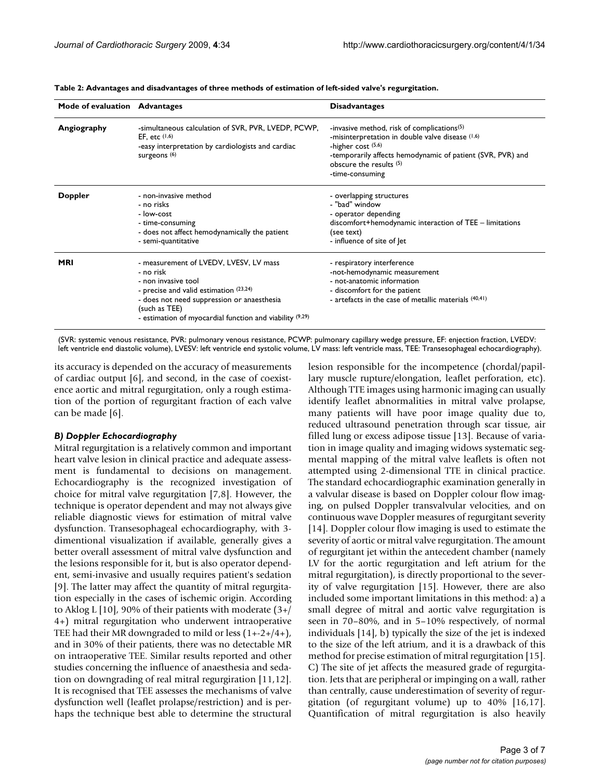| Mode of evaluation Advantages |                                                                                                                                                                                                                                                   | <b>Disadvantages</b>                                                                                                                                                                                                                           |  |  |
|-------------------------------|---------------------------------------------------------------------------------------------------------------------------------------------------------------------------------------------------------------------------------------------------|------------------------------------------------------------------------------------------------------------------------------------------------------------------------------------------------------------------------------------------------|--|--|
| Angiography                   | -simultaneous calculation of SVR, PVR, LVEDP, PCWP,<br>EF, etc $(1,6)$<br>-easy interpretation by cardiologists and cardiac<br>surgeons $(6)$                                                                                                     | -invasive method, risk of complications <sup>(5)</sup><br>-misinterpretation in double valve disease (1,6)<br>-higher cost $(5,6)$<br>-temporarily affects hemodynamic of patient (SVR, PVR) and<br>obscure the results (5)<br>-time-consuming |  |  |
| <b>Doppler</b>                | - non-invasive method<br>- no risks<br>- low-cost<br>- time-consuming<br>- does not affect hemodynamically the patient<br>- semi-quantitative                                                                                                     | - overlapping structures<br>- "bad" window<br>- operator depending<br>discomfort+hemodynamic interaction of TEE – limitations<br>(see text)<br>- influence of site of let                                                                      |  |  |
| <b>MRI</b>                    | - measurement of LVEDV, LVESV, LV mass<br>- no risk<br>- non invasive tool<br>- precise and valid estimation (23,24)<br>- does not need suppression or anaesthesia<br>(such as TEE)<br>- estimation of myocardial function and viability $(9,29)$ | - respiratory interference<br>-not-hemodynamic measurement<br>- not-anatomic information<br>- discomfort for the patient<br>- artefacts in the case of metallic materials $(40,41)$                                                            |  |  |

**Table 2: Advantages and disadvantages of three methods of estimation of left-sided valve's regurgitation.**

(SVR: systemic venous resistance, PVR: pulmonary venous resistance, PCWP: pulmonary capillary wedge pressure, EF: enjection fraction, LVEDV: left ventricle end diastolic volume), LVESV: left ventricle end systolic volume, LV mass: left ventricle mass, TEE: Transesophageal echocardiography).

its accuracy is depended on the accuracy of measurements of cardiac output [6], and second, in the case of coexistence aortic and mitral regurgitation, only a rough estimation of the portion of regurgitant fraction of each valve can be made [6].

#### *B) Doppler Echocardiography*

Mitral regurgitation is a relatively common and important heart valve lesion in clinical practice and adequate assessment is fundamental to decisions on management. Echocardiography is the recognized investigation of choice for mitral valve regurgitation [7,8]. However, the technique is operator dependent and may not always give reliable diagnostic views for estimation of mitral valve dysfunction. Transesophageal echocardiography, with 3 dimentional visualization if available, generally gives a better overall assessment of mitral valve dysfunction and the lesions responsible for it, but is also operator dependent, semi-invasive and usually requires patient's sedation [9]. The latter may affect the quantity of mitral regurgitation especially in the cases of ischemic origin. According to Aklog L [10], 90% of their patients with moderate (3+/ 4+) mitral regurgitation who underwent intraoperative TEE had their MR downgraded to mild or less  $(1+-2+4+)$ , and in 30% of their patients, there was no detectable MR on intraoperative TEE. Similar results reported and other studies concerning the influence of anaesthesia and sedation on downgrading of real mitral regurgiration [11,12]. It is recognised that TEE assesses the mechanisms of valve dysfunction well (leaflet prolapse/restriction) and is perhaps the technique best able to determine the structural

lesion responsible for the incompetence (chordal/papillary muscle rupture/elongation, leaflet perforation, etc). Although TTE images using harmonic imaging can usually identify leaflet abnormalities in mitral valve prolapse, many patients will have poor image quality due to, reduced ultrasound penetration through scar tissue, air filled lung or excess adipose tissue [13]. Because of variation in image quality and imaging widows systematic segmental mapping of the mitral valve leaflets is often not attempted using 2-dimensional TTE in clinical practice. The standard echocardiographic examination generally in a valvular disease is based on Doppler colour flow imaging, on pulsed Doppler transvalvular velocities, and on continuous wave Doppler measures of regurgitant severity [14]. Doppler colour flow imaging is used to estimate the severity of aortic or mitral valve regurgitation. The amount of regurgitant jet within the antecedent chamber (namely LV for the aortic regurgitation and left atrium for the mitral regurgitation), is directly proportional to the severity of valve regurgitation [15]. However, there are also included some important limitations in this method: a) a small degree of mitral and aortic valve regurgitation is seen in 70–80%, and in 5–10% respectively, of normal individuals [14], b) typically the size of the jet is indexed to the size of the left atrium, and it is a drawback of this method for precise estimation of mitral regurgitation [15]. C) The site of jet affects the measured grade of regurgitation. Jets that are peripheral or impinging on a wall, rather than centrally, cause underestimation of severity of regurgitation (of regurgitant volume) up to 40% [16,17]. Quantification of mitral regurgitation is also heavily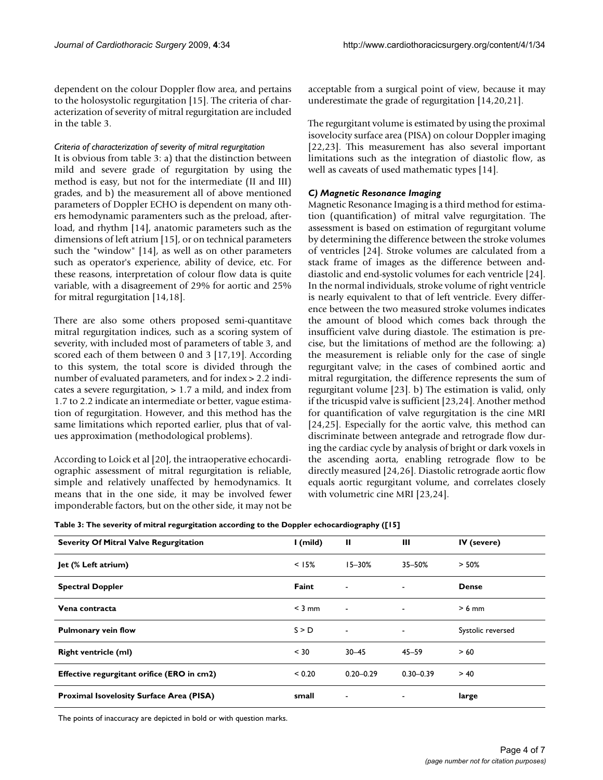dependent on the colour Doppler flow area, and pertains to the holosystolic regurgitation [15]. The criteria of characterization of severity of mitral regurgitation are included in the table 3.

#### *Criteria of characterization of severity of mitral regurgitation*

It is obvious from table 3: a) that the distinction between mild and severe grade of regurgitation by using the method is easy, but not for the intermediate (II and III) grades, and b) the measurement all of above mentioned parameters of Doppler ECHO is dependent on many others hemodynamic paramenters such as the preload, afterload, and rhythm [14], anatomic parameters such as the dimensions of left atrium [15], or on technical parameters such the "window" [14], as well as on other parameters such as operator's experience, ability of device, etc. For these reasons, interpretation of colour flow data is quite variable, with a disagreement of 29% for aortic and 25% for mitral regurgitation [14,18].

There are also some others proposed semi-quantitave mitral regurgitation indices, such as a scoring system of severity, with included most of parameters of table 3, and scored each of them between 0 and 3 [17,19]. According to this system, the total score is divided through the number of evaluated parameters, and for index > 2.2 indicates a severe regurgitation, > 1.7 a mild, and index from 1.7 to 2.2 indicate an intermediate or better, vague estimation of regurgitation. However, and this method has the same limitations which reported earlier, plus that of values approximation (methodological problems).

According to Loick et al [20], the intraoperative echocardiographic assessment of mitral regurgitation is reliable, simple and relatively unaffected by hemodynamics. It means that in the one side, it may be involved fewer imponderable factors, but on the other side, it may not be acceptable from a surgical point of view, because it may underestimate the grade of regurgitation [14,20,21].

The regurgitant volume is estimated by using the proximal isovelocity surface area (PISA) on colour Doppler imaging [22,23]. This measurement has also several important limitations such as the integration of diastolic flow, as well as caveats of used mathematic types [14].

#### *C) Magnetic Resonance Imaging*

Magnetic Resonance Imaging is a third method for estimation (quantification) of mitral valve regurgitation. The assessment is based on estimation of regurgitant volume by determining the difference between the stroke volumes of ventricles [24]. Stroke volumes are calculated from a stack frame of images as the difference between anddiastolic and end-systolic volumes for each ventricle [24]. In the normal individuals, stroke volume of right ventricle is nearly equivalent to that of left ventricle. Every difference between the two measured stroke volumes indicates the amount of blood which comes back through the insufficient valve during diastole. The estimation is precise, but the limitations of method are the following: a) the measurement is reliable only for the case of single regurgitant valve; in the cases of combined aortic and mitral regurgitation, the difference represents the sum of regurgitant volume [23]. b) The estimation is valid, only if the tricuspid valve is sufficient [23,24]. Another method for quantification of valve regurgitation is the cine MRI [24,25]. Especially for the aortic valve, this method can discriminate between antegrade and retrograde flow during the cardiac cycle by analysis of bright or dark voxels in the ascending aorta, enabling retrograde flow to be directly measured [24,26]. Diastolic retrograde aortic flow equals aortic regurgitant volume, and correlates closely with volumetric cine MRI [23,24].

|  |  |  |  |  | Table 3: The severity of mitral regurgitation according to the Doppler echocardiography ([15] |
|--|--|--|--|--|-----------------------------------------------------------------------------------------------|
|--|--|--|--|--|-----------------------------------------------------------------------------------------------|

| <b>Severity Of Mitral Valve Regurgitation</b>   | I (mild)  | Ш                        | Ш             | IV (severe)       |
|-------------------------------------------------|-----------|--------------------------|---------------|-------------------|
| Jet (% Left atrium)                             | < 15%     | $15 - 30%$               | 35-50%        | > 50%             |
| <b>Spectral Doppler</b>                         | Faint     | $\overline{\phantom{a}}$ | ٠             | <b>Dense</b>      |
| Vena contracta                                  | $<$ 3 mm  | $\blacksquare$           | ۰             | $> 6$ mm          |
| <b>Pulmonary vein flow</b>                      | $S \ge D$ | $\blacksquare$           | ٠             | Systolic reversed |
| <b>Right ventricle (ml)</b>                     | < 30      | $30 - 45$                | $45 - 59$     | > 60              |
| Effective regurgitant orifice (ERO in cm2)      | < 0.20    | $0.20 - 0.29$            | $0.30 - 0.39$ | > 40              |
| <b>Proximal Isovelosity Surface Area (PISA)</b> | small     | $\overline{\phantom{a}}$ |               | large             |

The points of inaccuracy are depicted in bold or with question marks.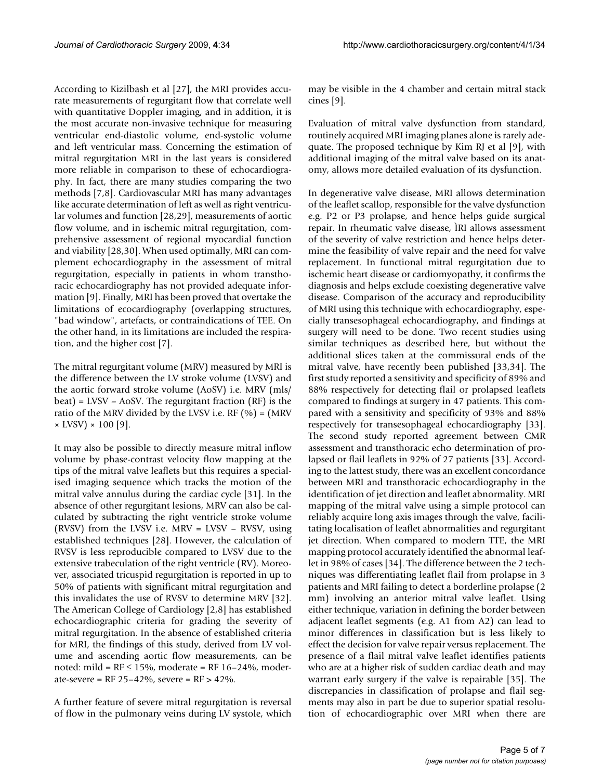According to Kizilbash et al [27], the MRI provides accurate measurements of regurgitant flow that correlate well with quantitative Doppler imaging, and in addition, it is the most accurate non-invasive technique for measuring ventricular end-diastolic volume, end-systolic volume and left ventricular mass. Concerning the estimation of mitral regurgitation MRI in the last years is considered more reliable in comparison to these of echocardiography. In fact, there are many studies comparing the two methods [7,8]. Cardiovascular MRI has many advantages like accurate determination of left as well as right ventricular volumes and function [28,29], measurements of aortic flow volume, and in ischemic mitral regurgitation, comprehensive assessment of regional myocardial function and viability [28,30]. When used optimally, MRI can complement echocardiography in the assessment of mitral regurgitation, especially in patients in whom transthoracic echocardiography has not provided adequate information [9]. Finally, MRI has been proved that overtake the limitations of ecocardiography (overlapping structures, "bad window", artefacts, or contraindications of TEE. On the other hand, in its limitations are included the respiration, and the higher cost [7].

The mitral regurgitant volume (MRV) measured by MRI is the difference between the LV stroke volume (LVSV) and the aortic forward stroke volume (AoSV) i.e. MRV (mls/ beat) = LVSV – AoSV. The regurgitant fraction (RF) is the ratio of the MRV divided by the LVSV i.e. RF (%) = (MRV  $\times$  LVSV)  $\times$  100 [9].

It may also be possible to directly measure mitral inflow volume by phase-contrast velocity flow mapping at the tips of the mitral valve leaflets but this requires a specialised imaging sequence which tracks the motion of the mitral valve annulus during the cardiac cycle [31]. In the absence of other regurgitant lesions, MRV can also be calculated by subtracting the right ventricle stroke volume (RVSV) from the LVSV i.e. MRV = LVSV – RVSV, using established techniques [28]. However, the calculation of RVSV is less reproducible compared to LVSV due to the extensive trabeculation of the right ventricle (RV). Moreover, associated tricuspid regurgitation is reported in up to 50% of patients with significant mitral regurgitation and this invalidates the use of RVSV to determine MRV [32]. The American College of Cardiology [2,8] has established echocardiographic criteria for grading the severity of mitral regurgitation. In the absence of established criteria for MRI, the findings of this study, derived from LV volume and ascending aortic flow measurements, can be noted: mild =  $RF \le 15\%$ , moderate =  $RF 16-24\%$ , moderate-severe = RF 25–42%, severe = RF > 42%.

A further feature of severe mitral regurgitation is reversal of flow in the pulmonary veins during LV systole, which may be visible in the 4 chamber and certain mitral stack cines [9].

Evaluation of mitral valve dysfunction from standard, routinely acquired MRI imaging planes alone is rarely adequate. The proposed technique by Kim RJ et al [9], with additional imaging of the mitral valve based on its anatomy, allows more detailed evaluation of its dysfunction.

In degenerative valve disease, MRI allows determination of the leaflet scallop, responsible for the valve dysfunction e.g. P2 or P3 prolapse, and hence helps guide surgical repair. In rheumatic valve disease, ÌRI allows assessment of the severity of valve restriction and hence helps determine the feasibility of valve repair and the need for valve replacement. In functional mitral regurgitation due to ischemic heart disease or cardiomyopathy, it confirms the diagnosis and helps exclude coexisting degenerative valve disease. Comparison of the accuracy and reproducibility of MRI using this technique with echocardiography, especially transesophageal echocardiography, and findings at surgery will need to be done. Two recent studies using similar techniques as described here, but without the additional slices taken at the commissural ends of the mitral valve, have recently been published [33,34]. The first study reported a sensitivity and specificity of 89% and 88% respectively for detecting flail or prolapsed leaflets compared to findings at surgery in 47 patients. This compared with a sensitivity and specificity of 93% and 88% respectively for transesophageal echocardiography [33]. The second study reported agreement between CMR assessment and transthoracic echo determination of prolapsed or flail leaflets in 92% of 27 patients [33]. According to the lattest study, there was an excellent concordance between MRI and transthoracic echocardiography in the identification of jet direction and leaflet abnormality. MRI mapping of the mitral valve using a simple protocol can reliably acquire long axis images through the valve, facilitating localisation of leaflet abnormalities and regurgitant jet direction. When compared to modern TTE, the MRI mapping protocol accurately identified the abnormal leaflet in 98% of cases [34]. The difference between the 2 techniques was differentiating leaflet flail from prolapse in 3 patients and MRI failing to detect a borderline prolapse (2 mm) involving an anterior mitral valve leaflet. Using either technique, variation in defining the border between adjacent leaflet segments (e.g. A1 from A2) can lead to minor differences in classification but is less likely to effect the decision for valve repair versus replacement. The presence of a flail mitral valve leaflet identifies patients who are at a higher risk of sudden cardiac death and may warrant early surgery if the valve is repairable [35]. The discrepancies in classification of prolapse and flail segments may also in part be due to superior spatial resolution of echocardiographic over MRI when there are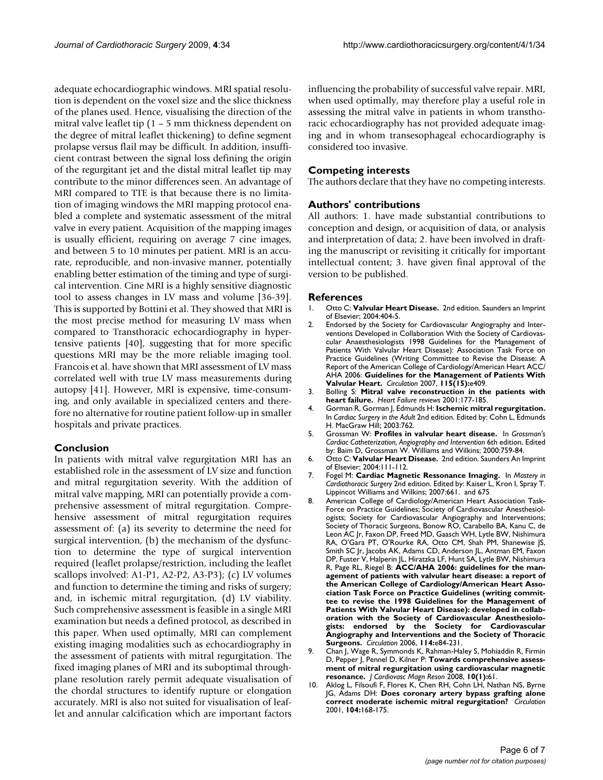adequate echocardiographic windows. MRI spatial resolution is dependent on the voxel size and the slice thickness of the planes used. Hence, visualising the direction of the mitral valve leaflet tip (1 – 5 mm thickness dependent on the degree of mitral leaflet thickening) to define segment prolapse versus flail may be difficult. In addition, insufficient contrast between the signal loss defining the origin of the regurgitant jet and the distal mitral leaflet tip may contribute to the minor differences seen. An advantage of MRI compared to TTE is that because there is no limitation of imaging windows the MRI mapping protocol enabled a complete and systematic assessment of the mitral valve in every patient. Acquisition of the mapping images is usually efficient, requiring on average 7 cine images, and between 5 to 10 minutes per patient. MRI is an accurate, reproducible, and non-invasive manner, potentially enabling better estimation of the timing and type of surgical intervention. Cine MRI is a highly sensitive diagnostic tool to assess changes in LV mass and volume [36-39]. This is supported by Bottini et al. They showed that MRI is the most precise method for measuring LV mass when compared to Transthoracic echocardiography in hypertensive patients [40], suggesting that for more specific questions MRI may be the more reliable imaging tool. Francois et al. have shown that MRI assessment of LV mass correlated well with true LV mass measurements during autopsy [41]. However, MRI is expensive, time-consuming, and only available in specialized centers and therefore no alternative for routine patient follow-up in smaller hospitals and private practices.

#### **Conclusion**

In patients with mitral valve regurgitation MRI has an established role in the assessment of LV size and function and mitral regurgitation severity. With the addition of mitral valve mapping, MRI can potentially provide a comprehensive assessment of mitral regurgitation. Comprehensive assessment of mitral regurgitation requires assessment of: (a) its severity to determine the need for surgical intervention, (b) the mechanism of the dysfunction to determine the type of surgical intervention required (leaflet prolapse/restriction, including the leaflet scallops involved: A1-P1, A2-P2, A3-P3); (c) LV volumes and function to determine the timing and risks of surgery; and, in ischemic mitral regurgitation, (d) LV viability. Such comprehensive assessment is feasible in a single MRI examination but needs a defined protocol, as described in this paper. When used optimally, MRI can complement existing imaging modalities such as echocardiography in the assessment of patients with mitral regurgitation. The fixed imaging planes of MRI and its suboptimal throughplane resolution rarely permit adequate visualisation of the chordal structures to identify rupture or elongation accurately. MRI is also not suited for visualisation of leaflet and annular calcification which are important factors influencing the probability of successful valve repair. MRI, when used optimally, may therefore play a useful role in assessing the mitral valve in patients in whom transthoracic echocardiography has not provided adequate imaging and in whom transesophageal echocardiography is considered too invasive.

#### **Competing interests**

The authors declare that they have no competing interests.

#### **Authors' contributions**

All authors: 1. have made substantial contributions to conception and design, or acquisition of data, or analysis and interpretation of data; 2. have been involved in drafting the manuscript or revisiting it critically for important intellectual content; 3. have given final approval of the version to be published.

#### **References**

- 1. Otto C: **Valvular Heart Disease.** 2nd edition. Saunders an Imprint of Elsevier; 2004:404-5.
- 2. Endorsed by the Society for Cardiovascular Angiography and Interventions Developed in Collaboration With the Society of Cardiovascular Anaesthesiologists 1998 Guidelines for the Management of Patients With Valvular Heart Disease): Association Task Force on Practice Guidelines (Writing Committee to Revise the Disease: A Report of the American College of Cardiology/American Heart ACC/ AHA 2006: **Guidelines for the Management of Patients With Valvular Heart.** *Circulation* 2007, **115(15):**e409.
- 3. Bolling S: **[Mitral valve reconstruction in the patients with](http://www.ncbi.nlm.nih.gov/entrez/query.fcgi?cmd=Retrieve&db=PubMed&dopt=Abstract&list_uids=11391035) [heart failure.](http://www.ncbi.nlm.nih.gov/entrez/query.fcgi?cmd=Retrieve&db=PubMed&dopt=Abstract&list_uids=11391035)** *Heart Failure reviews* 2001:177-185.
- 4. Gorman R, Gorman J, Edmunds H: **Ischemic mitral regurgitation.** In *Cardiac Surgery in the Adult* 2nd edition. Edited by: Cohn L, Edmunds H. MacGraw Hill; 2003:762.
- 5. Grossman W: **Profiles in valvular heart disease.** In *Grossman's Cardiac Catheterization, Angiography and Intervention* 6th edition. Edited by: Baim D, Grossman W. Williams and Wilkins; 2000:759-84.
- 6. Otto C: **[Valvular Heart Disease.](http://www.ncbi.nlm.nih.gov/entrez/query.fcgi?cmd=Retrieve&db=PubMed&dopt=Abstract&list_uids=15172128)** 2nd edition. Saunders An Imprint of Elsevier; 2004:111-112.
- 7. Fogel M: **Cardiac Magnetic Ressonance Imaging.** In *Mastery in Cardiothoracic Surgery* 2nd edition. Edited by: Kaiser L, Kron I, Spray T. Lippincot Williams and Wilkins; 2007:661. and 675
- 8. American College of Cardiology/American Heart Association Task-Force on Practice Guidelines; Society of Cardiovascular Anesthesiologists; Society for Cardiovascular Angiography and Interventions; Society of Thoracic Surgeons, Bonow RO, Carabello BA, Kanu C, de Leon AC Jr, Faxon DP, Freed MD, Gaasch WH, Lytle BW, Nishimura RA, O'Gara PT, O'Rourke RA, Otto CM, Shah PM, Shanewise JS, Smith SC Jr, Jacobs AK, Adams CD, Anderson JL, Antman EM, Faxon DP, Fuster V, Halperin JL, Hiratzka LF, Hunt SA, Lytle BW, Nishimura R, Page RL, Riegel B: **[ACC/AHA 2006: guidelines for the man](http://www.ncbi.nlm.nih.gov/entrez/query.fcgi?cmd=Retrieve&db=PubMed&dopt=Abstract&list_uids=16880336)agement of patients with valvular heart disease: a report of the American College of Cardiology/American Heart Asso[ciation Task Force on Practice Guidelines \(writing commit](http://www.ncbi.nlm.nih.gov/entrez/query.fcgi?cmd=Retrieve&db=PubMed&dopt=Abstract&list_uids=16880336)tee to revise the 1998 Guidelines for the Management of Patients With Valvular Heart Disease): developed in collaboration with the Society of Cardiovascular Anesthesiologists: endorsed by the Society for Cardiovascular Angiography and Interventions and the Society of Thoracic [Surgeons.](http://www.ncbi.nlm.nih.gov/entrez/query.fcgi?cmd=Retrieve&db=PubMed&dopt=Abstract&list_uids=16880336)** *Circulation* 2006, **114:**e84-231.
- 9. Chan J, Wage R, Symmonds K, Rahman-Haley S, Mohiaddin R, Firmin D, Pepper J, Pennel D, Kilner P: **[Towards comprehensive assess](http://www.ncbi.nlm.nih.gov/entrez/query.fcgi?cmd=Retrieve&db=PubMed&dopt=Abstract&list_uids=19102740)[ment of mitral regurgitation using cardiovascular magnetic](http://www.ncbi.nlm.nih.gov/entrez/query.fcgi?cmd=Retrieve&db=PubMed&dopt=Abstract&list_uids=19102740) [resonance.](http://www.ncbi.nlm.nih.gov/entrez/query.fcgi?cmd=Retrieve&db=PubMed&dopt=Abstract&list_uids=19102740)** *J Cardiovasc Magn Reson* 2008, **10(1):**61.
- 10. Aklog L, Filsoufi F, Flores K, Chen RH, Cohn LH, Nathan NS, Byrne JG, Adams DH: **[Does coronary artery bypass grafting alone](http://www.ncbi.nlm.nih.gov/entrez/query.fcgi?cmd=Retrieve&db=PubMed&dopt=Abstract&list_uids=11447081) [correct moderate ischemic mitral regurgitation?](http://www.ncbi.nlm.nih.gov/entrez/query.fcgi?cmd=Retrieve&db=PubMed&dopt=Abstract&list_uids=11447081)** *Circulation* 2001, **104:**168-175.